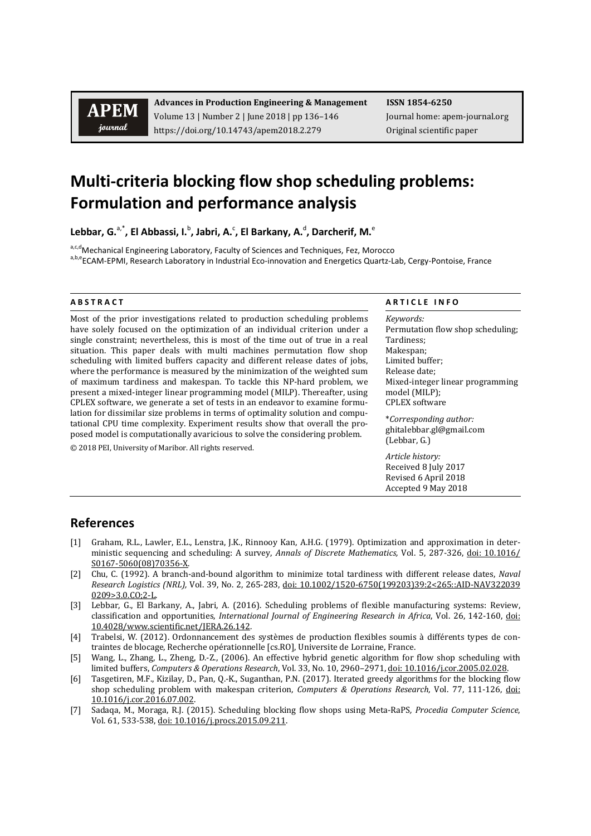## **APEM** journal

**Advances in Production Engineering & Management ISSN 1854-6250** Volume 13 | Number 2 | June 2018 | pp 136-146 Journal home: apem-journal.org https://doi.org/10.14743/apem2018.2.279 Original scientific paper

# **Multi-criteria blocking flow shop scheduling problems: Formulation and performance analysis**

Lebbar, G.<sup>a,\*</sup>, El Abbassi, I.<sup>b</sup>, Jabri, A.<sup>c</sup>, El Barkany, A.<sup>d</sup>, Darcherif, M.<sup>e</sup>

a,c,d Mechanical Engineering Laboratory, Faculty of Sciences and Techniques, Fez, Morocco

a,b,e ECAM-EPMI, Research Laboratory in Industrial Eco-innovation and Energetics Quartz-Lab, Cergy-Pontoise, France

Most of the prior investigations related to production scheduling problem have solely focused on the optimization of an individual criterion under single constraint; nevertheless, this is most of the time out of true in a real situation. This paper deals with multi machines permutation flow shop scheduling with limited buffers capacity and different release dates of jobs, where the performance is measured by the minimization of the weighted sum of maximum tardiness and makespan. To tackle this NP-hard problem, we present a mixed-integer linear programming model (MILP). Thereafter, using CPLEX software, we generate a set of tests in an endeavor to examine formulation for dissimilar size problems in terms of optimality solution and computational CPU time complexity. Experiment results show that overall the proposed model is computationally avaricious to solve the considering problem.

© 2018 PEI, University of Maribor. All rights reserved.

### **A B S T R A C T A R T I C L E I N F O**

| ιS | Keywords:                         |
|----|-----------------------------------|
| a  | Permutation flow shop scheduling; |
| ıl | Tardiness;                        |
| p  | Makespan;                         |
| s, | Limited buffer;                   |
| n  | Release date:                     |
| e  | Mixed-integer linear programming  |
| g  | model (MILP);                     |
| ŀ. | <b>CPLEX</b> software             |
| ŀ  |                                   |
| )- | *Corresponding author:            |
|    | ghitalebbar.gl@gmail.com          |
|    | (Lebbar, G.)                      |
|    | Article history:                  |
|    | Received 8 July 2017              |

Received 8 July 2017 Revised 6 April 2018 Accepted 9 May 2018

### **References**

- [1] Graham, R.L., Lawler, E.L., Lenstra, J.K., Rinnooy Kan, A.H.G. (1979). Optimization and approximation in deterministic sequencing and scheduling: A survey, *Annals of Discrete Mathematics,* Vol. 5, 287-326, [doi: 10.1016/](http://dx.doi.org/10.1016/S0167-5060(08)70356-X) [S0167-5060\(08\)70356-X.](http://dx.doi.org/10.1016/S0167-5060(08)70356-X)
- [2] Chu, C. (1992). A branch-and-bound algorithm to minimize total tardiness with different release dates, *Naval Research Logistics (NRL),* Vol. 39, No. 2, 265-283, [doi: 10.1002/1520-6750\(199203\)39:2<265::AID-NAV322039](https://doi.org/10.1002/1520-6750(199203)39:2%3c265::AID-NAV3220390209%3e3.0.CO;2-L) [0209>3.0.CO;2-L.](https://doi.org/10.1002/1520-6750(199203)39:2%3c265::AID-NAV3220390209%3e3.0.CO;2-L)
- [3] Lebbar, G., El Barkany, A., Jabri, A. (2016). Scheduling problems of flexible manufacturing systems: Review, classification and opportunities, *International Journal of Engineering Research in Africa*, Vol. 26, 142-160, [doi:](https://doi.org/10.4028/www.scientific.net/JERA.26.142)  [10.4028/www.scientific.net/JERA.26.142.](https://doi.org/10.4028/www.scientific.net/JERA.26.142)
- [4] Trabelsi, W. (2012). Ordonnancement des systèmes de production flexibles soumis à différents types de contraintes de blocage, Recherche opérationnelle [cs.RO], Universite de Lorraine, France.
- [5] Wang, L., Zhang, L., Zheng, D.-Z., (2006). An effective hybrid genetic algorithm for flow shop scheduling with limited buffers, *Computers & Operations Research*, Vol. 33, No. 10, 2960–2971[, doi: 10.1016/j.cor.2005.02.028.](https://doi.org/10.1016/j.cor.2005.02.028)
- [6] Tasgetiren, M.F., Kizilay, D., Pan, Q.-K., Suganthan, P.N. (2017). Iterated greedy algorithms for the blocking flow shop scheduling problem with makespan criterion, *Computers & Operations Research*, Vol. 77, 111-126, [doi:](https://doi.org/10.1016/j.cor.2016.07.002)  [10.1016/j.cor.2016.07.002.](https://doi.org/10.1016/j.cor.2016.07.002)
- [7] Sadaqa, M., Moraga, R.J. (2015). Scheduling blocking flow shops using Meta-RaPS*, Procedia Computer Science*, Vol. 61, 533-538, doi: [10.1016/j.procs.2015.09.211.](https://doi.org/10.1016/j.procs.2015.09.211)